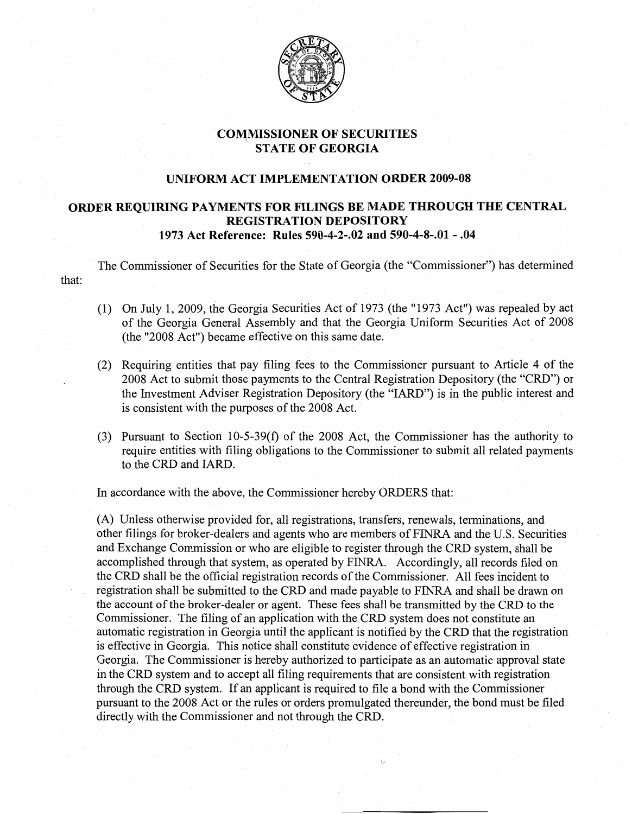

## CO~MISSIONER **OF SECURITIES STATE OF GEORGIA**

## **UNIFORM ACT IMPLEMENTATION ORDER 2009-08**

## **ORDER REQUIRING PAYMENTS FOR FILINGS BE MADE THROUGH THE CENTRAL REGISTRATION DEPOSITORY 1973 Act Reference: Rules 590-4-2-.02 and 590-4-8-.01 - .04**

The Commissioner of Securities for the State of Georgia (the "Commissioner") has determined that:

- (1) On July 1, 2009, the Georgia Securities Act of 1973 (the "1973 Act") was repealed by act of the Georgia General Assembly and that the Georgia Uniform Securities Act of 2008 (the "2008 Act") became effective on this same date.
- (2) Requiring entities that pay filing fees to the Commissioner pursuant to Article 4 of the 2008 Act to submit those payments to the Central Registration Depository (the "CRD") or the Investment Adviser Registration Depository (the "lARD") is in the public interest and is consistent with the purposes of the 2008 Act.
- (3) Pursuant to Section 10-5-39(f) of the 2008 Act, the Commissioner has the authority to require entities with filing obligations to the Commissioner to submit all related payments to the CRD and lARD.

In accordance with the above, the Commissioner hereby ORDERS that:

(A) Unless otherwise provided for, all registrations, transfers, renewals, terminations, and other filings for broker-dealers and agents who are members of FINRA and the U.S. Securities and Exchange Commission or who are eligible to register through the CRD system, shall be accomplished through that system, as operated by FINRA. Accordingly, all records filed on the CRD shall be the official registration records of the Commissioner. All fees incident to registration shall be submitted to the CRD and made payable to FINRA and shall be drawn on the account of the broker-dealer or agent. These fees shall be transmitted by the CRD to the Commissioner. The filing of an application with the CRD system does not constitute an automatic registration in Georgia until the applicant is notified by the CRD that the registration is effective in Georgia. This notice shall constitute evidence of effective registration in Georgia. The Commissioner is hereby authorized to participate as an automatic approval state in the CRD system and to accept all filing requirements that are consistent with registration through the CRD system. If an applicant is required to file a bond with the Commissioner pursuant to the 2008 Act or the rules or orders promulgated thereunder, the bond must be filed directly with the Commissioner and not through the CRD.